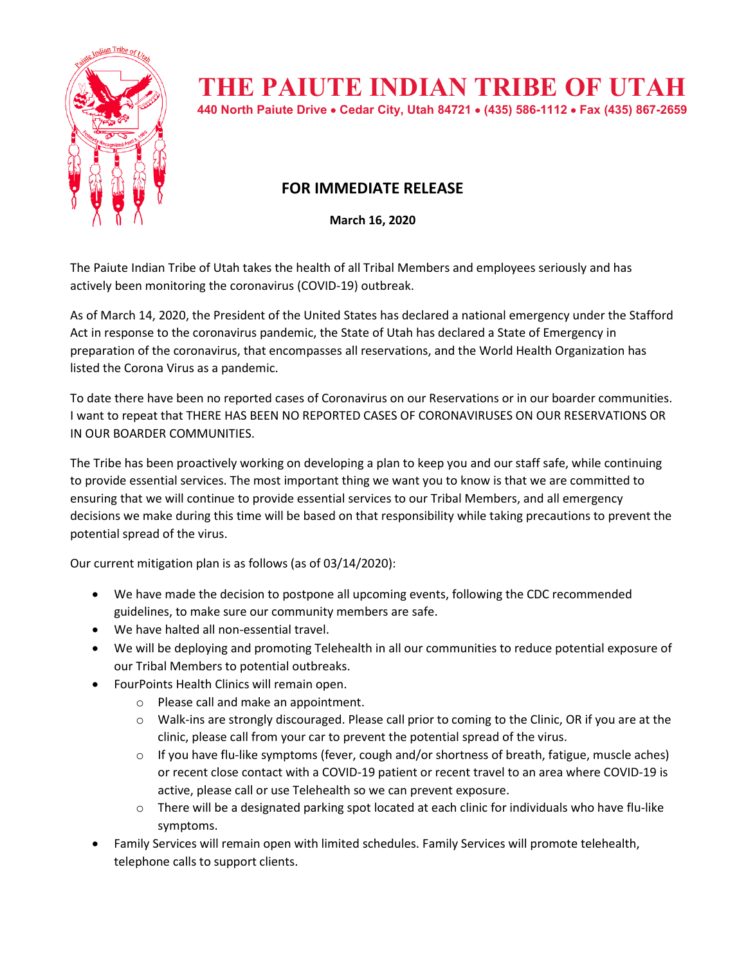

## **THE PAIUTE INDIAN TRIBE OF UTAH**

**440 North Paiute Drive** • **Cedar City, Utah 84721** • **(435) 586-1112** • **Fax (435) 867-2659** 

## **FOR IMMEDIATE RELEASE**

**March 16, 2020**

The Paiute Indian Tribe of Utah takes the health of all Tribal Members and employees seriously and has actively been monitoring the coronavirus (COVID-19) outbreak.

As of March 14, 2020, the President of the United States has declared a national emergency under the Stafford Act in response to the coronavirus pandemic, the State of Utah has declared a State of Emergency in preparation of the coronavirus, that encompasses all reservations, and the World Health Organization has listed the Corona Virus as a pandemic.

To date there have been no reported cases of Coronavirus on our Reservations or in our boarder communities. I want to repeat that THERE HAS BEEN NO REPORTED CASES OF CORONAVIRUSES ON OUR RESERVATIONS OR IN OUR BOARDER COMMUNITIES.

The Tribe has been proactively working on developing a plan to keep you and our staff safe, while continuing to provide essential services. The most important thing we want you to know is that we are committed to ensuring that we will continue to provide essential services to our Tribal Members, and all emergency decisions we make during this time will be based on that responsibility while taking precautions to prevent the potential spread of the virus.

Our current mitigation plan is as follows (as of 03/14/2020):

- We have made the decision to postpone all upcoming events, following the CDC recommended guidelines, to make sure our community members are safe.
- We have halted all non-essential travel.
- We will be deploying and promoting Telehealth in all our communities to reduce potential exposure of our Tribal Members to potential outbreaks.
- FourPoints Health Clinics will remain open.
	- o Please call and make an appointment.
	- o Walk-ins are strongly discouraged. Please call prior to coming to the Clinic, OR if you are at the clinic, please call from your car to prevent the potential spread of the virus.
	- $\circ$  If you have flu-like symptoms (fever, cough and/or shortness of breath, fatigue, muscle aches) or recent close contact with a COVID-19 patient or recent travel to an area where COVID-19 is active, please call or use Telehealth so we can prevent exposure.
	- $\circ$  There will be a designated parking spot located at each clinic for individuals who have flu-like symptoms.
- Family Services will remain open with limited schedules. Family Services will promote telehealth, telephone calls to support clients.